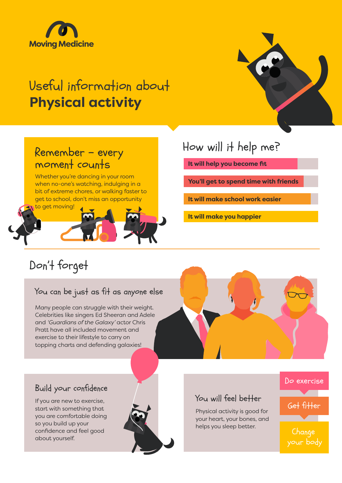

## Useful information about **Physical activity**



### Remember - every moment counts

Whether you're dancing in your room when no-one's watching, indulging in a bit of extreme chores, or walking faster to get to school, don't miss an opportunity



## How will it help me?

**It will help you become fit**

**You'll get to spend time with friends**

**It will make school work easier**

**It will make you happier**

## Don't forget

#### You can be just as fit as anyone else

Many people can struggle with their weight. Celebrities like singers Ed Sheeran and Adele and *'Guardians of the Galaxy'* actor Chris Pratt have all included movement and exercise to their lifestyle to carry on topping charts and defending galaxies!



#### Build your confidence

If you are new to exercise, start with something that you are comfortable doing so you build up your confidence and feel good about yourself.



#### You will feel better

Physical activity is good for your heart, your bones, and helps you sleep better.

# Do exercise Get fitter

**Change** your body